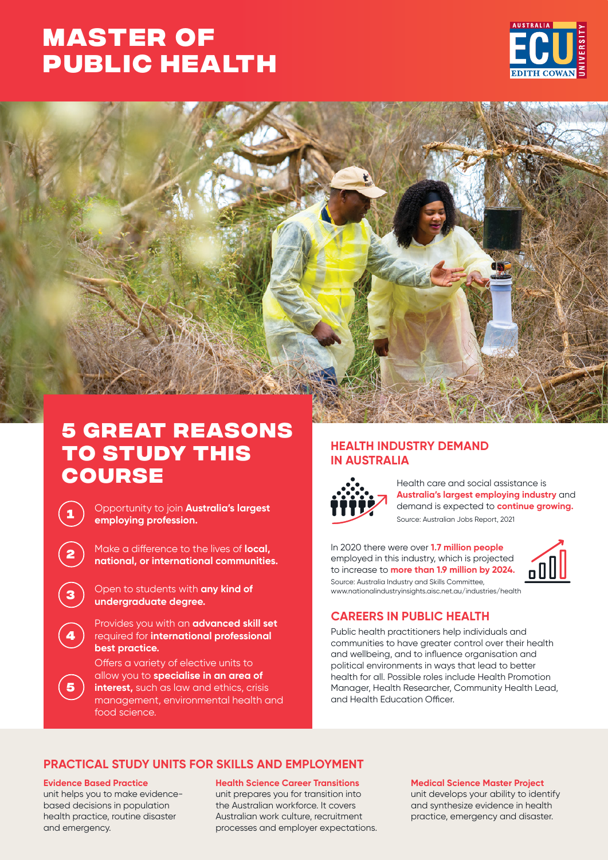# **MASTER OF [PUBLIC HEALTH](https://www.ecu.edu.au/degrees/courses/master-of-public-health)**





## **5 great reasons to study this course**

**<sup>1</sup>** Opportunity to join **Australia's largest employing profession.**

**<sup>2</sup>** Make a difference to the lives of **local, national, or international communities.**

**<sup>3</sup>** Open to students with **any kind of undergraduate degree.**

Provides you with an **advanced skill set**  required for **international professional best practice.**

Offers a variety of elective units to allow you to **specialise in an area of interest,** such as law and ethics, crisis management, environmental health and food science.

## **HEALTH INDUSTRY DEMAND IN AUSTRALIA**



Health care and social assistance is **Australia's largest employing industry** and demand is expected to **continue growing.** Source: Australian Jobs Report, 2021

Source: Australia Industry and Skills Committee, www.nationalindustryinsights.aisc.net.au/industries/health In 2020 there were over **1.7 million people**  employed in this industry, which is projected to increase to **more than 1.9 million by 2024.**



**CAREERS IN PUBLIC HEALTH**

Public health practitioners help individuals and communities to have greater control over their health and wellbeing, and to influence organisation and political environments in ways that lead to better health for all. Possible roles include Health Promotion Manager, Health Researcher, Community Health Lead, and Health Education Officer.

## **PRACTICAL STUDY UNITS FOR SKILLS AND EMPLOYMENT**

#### **Evidence Based Practice**

**4**

**5**

unit helps you to make evidencebased decisions in population health practice, routine disaster and emergency.

**Health Science Career Transitions**  unit prepares you for transition into the Australian workforce. It covers Australian work culture, recruitment processes and employer expectations.

#### **Medical Science Master Project**

unit develops your ability to identify and synthesize evidence in health practice, emergency and disaster.